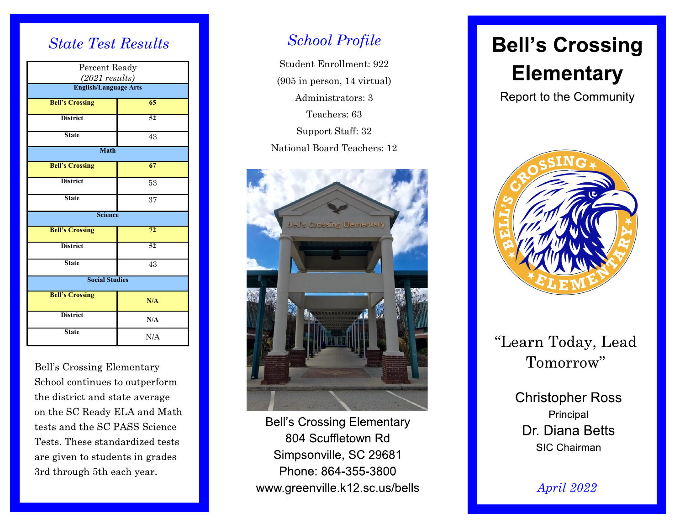### *State Test Results*

| Percent Ready                                    |     |
|--------------------------------------------------|-----|
| $(2021$ results)<br><b>English/Language Arts</b> |     |
|                                                  |     |
| <b>Bell's Crossing</b>                           | 65  |
| <b>District</b>                                  | 52  |
| <b>State</b>                                     | 43  |
| <b>Math</b>                                      |     |
| <b>Bell's Crossing</b>                           | 67  |
| <b>District</b>                                  | 53  |
| <b>State</b>                                     | 37  |
| <b>Science</b>                                   |     |
| <b>Bell's Crossing</b>                           | 72  |
| <b>District</b>                                  | 52  |
| <b>State</b>                                     | 43  |
| <b>Social Studies</b>                            |     |
| <b>Bell's Crossing</b>                           | N/A |
| <b>District</b>                                  | N/A |
| <b>State</b>                                     | N/A |

Bell's Crossing Elementary School continues to outperform the district and state average on the SC Ready ELA and Math tests and the SC PASS Science Tests. These standardized tests are given to students in grades 3rd through 5th each year.

# *School Profile*

Student Enrollment: 922 (905 in person, 14 virtual) Administrators: 3 Teachers: 63 Support Staff: 32 National Board Teachers: 12



**Bell's Crossing Elementary** 804 Scuffletown Rd Simpsonville, SC 29681 Phone: 864-355-3800 www.greenville.k12.sc.us/bells

# **Bell's Crossing Elementary**

**Report to the Community** 



# "Learn Today, Lead Tomorrow"

**Christopher Ross** Principal Dr. Diana Betts **SIC Chairman** 

*April 2022*